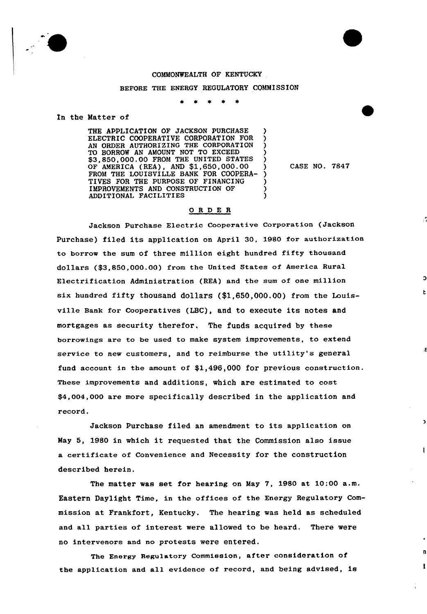

## COMMONWEALTH OF KENTUCKY

## BEFORE THE ENERGY REGULATORY COMMISSION

In the Matter of

THE APPLICATION OF JACKSON PURCHASE ELECTRIC COOPERATIVE CORPORATION FOR AN ORDER AUTHORIZING THE CORPORATION TO BORROW AN AMOUNT NOT TO EXCEED \$3,850,000.00 FROM THE UNITED STATES OF AMERICA (REA), AND \$1,650,000.00 )<br>FROM THE LOUISVILLE BANK FOR COOPERA-FROM THE LOUISVILLE BANK FOR COOPERA- )<br>TIVES FOR THE PURPOSE OF FINANCING TIVES FOR THE PURPOSE OF FINANCING IMPROVEMENTS AND CONSTRUCTION OF  $\qquad$ ADDITIONAL FACILITIES )

CASE NO. 7847

t.

L

I.

## ORDER

Jackson Purchase Electric Cooperative Corporation (Jackson Purchase) filed its application on April 30, 1980 for authorization to borrow the sum of three million eight hundred fifty thousand dollars (\$3,850,000.00) from the United States of America Rural Electrification Administration (REA) and the sum of one million six hundred fifty thousand dollars (\$1,650,000.00) from the Louisville Bank for Cooperatives (LBC), and to execute its notes and mortgages as security therefor, The funds acquired by these borrowings are to be used to make system improvements, to extend service to new customers, and to reimburse the utility's general fund account in the amount of \$1,496,000 for previous construction. These improvements and additions, which are estimated to cost \$4,004,000 are more specifically described in the application and record.

Jackson Purchase filed an amendment to its application on May 5, 1980 in which it requested that the Commission also issue a certificate of Convenience and Necessity for the construction described herein,

The matter was set for hearing on May 7, 1980 at 10:00 a.m. Eastern Daylight Time, in the offices of the Energy Regulatory Commission at Frankfort, Kentucky. The hearing was held as scheduled and all parties of interest were allowed to be heard. There were no intervenors and no protests were entered.

The Energy Regulatory Commission, after consideration of the application and all evidence of record, and being advised, is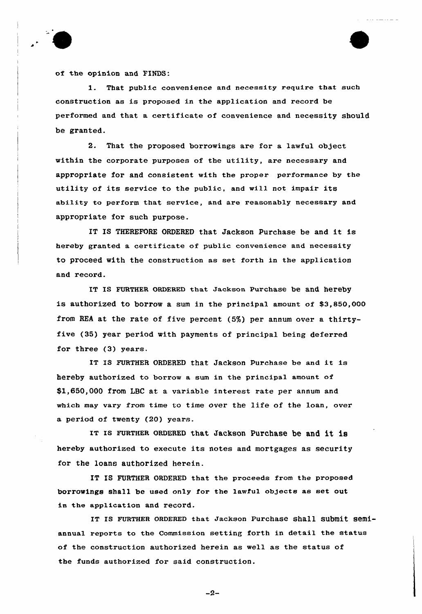

of the opinion and FINDS:

1. That public convenience and necessity require that such construction as is proposed in the application and record be performed and that a certificate of convenience and necessity should be granted.

2. That the proposed borrowings are for a lawful object within the corporate purposes of the utility, are necessary and appropriate for and consistent with the proper performance by the utility of its service to the public, and will not impair its abi1ity to perform that service, and are reasonably necessary and appropriate for such purpose.

IT IS THEREFORE ORDERED that Jackson Purchase be and it is hereby granted a certificate of public convenience and necessity to proceed with the construction as set forth in the application and record.

IT IS FURTHER ORDERED that Jackson Purchase be and hereby is authorized to borrow a sum in the principal amount of \$3,850,000 from REA at the rate of five percent (5%) per annum over a thirtyfive (35) year period with payments of principal being deferred for three (3) years.

IT IS FURTHER ORDERED that Jackson Purchase be and it is hereby authorized to borrow a sum in the principal amount of \$1,650,000 from LBC at a variable interest rate per annum and which may vary from time to time over the life of the loan, over a period of twenty (20) years.

IT IS FURTHER ORDERED that Jackson Purchase be and it is hereby authorized to execute its notes and mortgages as security for the loans authorized herein.

IT IS FURTHER ORDERED that the proceeds from the proposed borrowings shall be used only for the lawful objects as set out in the application and record.

IT Is FURTHER 0RDERED that Jackson Purchase shall submit semiannual reports to the Commission setting forth in detail the status of the construction authorized herein as well as the status of the funds authorized for said construction.

 $-2-$